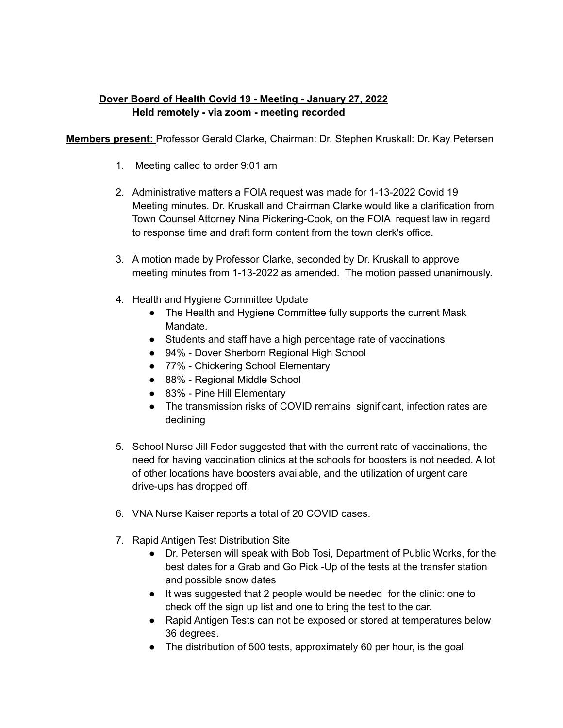## **Dover Board of Health Covid 19 - Meeting - January 27, 2022 Held remotely - via zoom - meeting recorded**

**Members present:** Professor Gerald Clarke, Chairman: Dr. Stephen Kruskall: Dr. Kay Petersen

- 1. Meeting called to order 9:01 am
- 2. Administrative matters a FOIA request was made for 1-13-2022 Covid 19 Meeting minutes. Dr. Kruskall and Chairman Clarke would like a clarification from Town Counsel Attorney Nina Pickering-Cook, on the FOIA request law in regard to response time and draft form content from the town clerk's office.
- 3. A motion made by Professor Clarke, seconded by Dr. Kruskall to approve meeting minutes from 1-13-2022 as amended. The motion passed unanimously.
- 4. Health and Hygiene Committee Update
	- The Health and Hygiene Committee fully supports the current Mask Mandate.
	- Students and staff have a high percentage rate of vaccinations
	- 94% Dover Sherborn Regional High School
	- 77% Chickering School Elementary
	- 88% Regional Middle School
	- 83% Pine Hill Elementary
	- The transmission risks of COVID remains significant, infection rates are declining
- 5. School Nurse Jill Fedor suggested that with the current rate of vaccinations, the need for having vaccination clinics at the schools for boosters is not needed. A lot of other locations have boosters available, and the utilization of urgent care drive-ups has dropped off.
- 6. VNA Nurse Kaiser reports a total of 20 COVID cases.
- 7. Rapid Antigen Test Distribution Site
	- Dr. Petersen will speak with Bob Tosi, Department of Public Works, for the best dates for a Grab and Go Pick -Up of the tests at the transfer station and possible snow dates
	- It was suggested that 2 people would be needed for the clinic: one to check off the sign up list and one to bring the test to the car.
	- Rapid Antigen Tests can not be exposed or stored at temperatures below 36 degrees.
	- The distribution of 500 tests, approximately 60 per hour, is the goal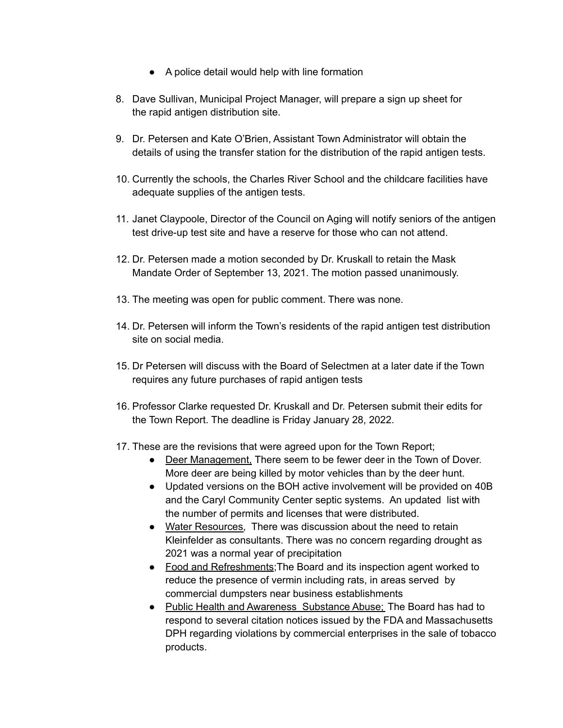- A police detail would help with line formation
- 8. Dave Sullivan, Municipal Project Manager, will prepare a sign up sheet for the rapid antigen distribution site.
- 9. Dr. Petersen and Kate O'Brien, Assistant Town Administrator will obtain the details of using the transfer station for the distribution of the rapid antigen tests.
- 10. Currently the schools, the Charles River School and the childcare facilities have adequate supplies of the antigen tests.
- 11. Janet Claypoole, Director of the Council on Aging will notify seniors of the antigen test drive-up test site and have a reserve for those who can not attend.
- 12. Dr. Petersen made a motion seconded by Dr. Kruskall to retain the Mask Mandate Order of September 13, 2021. The motion passed unanimously.
- 13. The meeting was open for public comment. There was none.
- 14. Dr. Petersen will inform the Town's residents of the rapid antigen test distribution site on social media.
- 15. Dr Petersen will discuss with the Board of Selectmen at a later date if the Town requires any future purchases of rapid antigen tests
- 16. Professor Clarke requested Dr. Kruskall and Dr. Petersen submit their edits for the Town Report. The deadline is Friday January 28, 2022.
- 17. These are the revisions that were agreed upon for the Town Report;
	- Deer Management, There seem to be fewer deer in the Town of Dover. More deer are being killed by motor vehicles than by the deer hunt.
	- Updated versions on the BOH active involvement will be provided on 40B and the Caryl Community Center septic systems. An updated list with the number of permits and licenses that were distributed.
	- Water Resources, There was discussion about the need to retain Kleinfelder as consultants. There was no concern regarding drought as 2021 was a normal year of precipitation
	- Food and Refreshments; The Board and its inspection agent worked to reduce the presence of vermin including rats, in areas served by commercial dumpsters near business establishments
	- Public Health and Awareness Substance Abuse; The Board has had to respond to several citation notices issued by the FDA and Massachusetts DPH regarding violations by commercial enterprises in the sale of tobacco products.